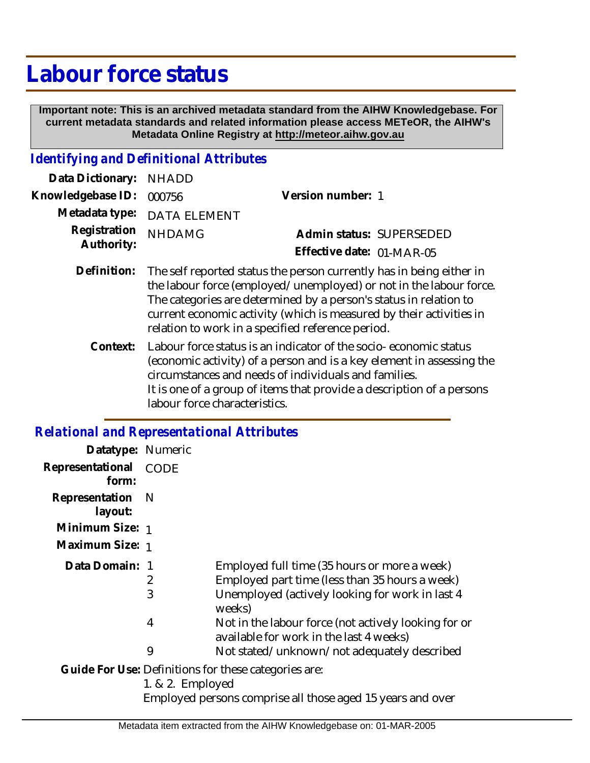## **Labour force status**

 **Important note: This is an archived metadata standard from the AIHW Knowledgebase. For current metadata standards and related information please access METeOR, the AIHW's Metadata Online Registry at http://meteor.aihw.gov.au**

## *Identifying and Definitional Attributes*

| Data Dictionary: NHADD            |                                                                             |                           |                          |
|-----------------------------------|-----------------------------------------------------------------------------|---------------------------|--------------------------|
| Knowledgebase ID: 000756          |                                                                             | Version number: 1         |                          |
|                                   | Metadata type: DATA ELEMENT                                                 |                           |                          |
| Registration NHDAMG<br>Authority: |                                                                             |                           | Admin status: SUPERSEDED |
|                                   |                                                                             | Effective date: 01-MAR-05 |                          |
|                                   | Definition: The self reported status the person currently has in heing eith |                           |                          |

- Definition: The self reported status the person currently has in being either in the labour force (employed/unemployed) or not in the labour force. The categories are determined by a person's status in relation to current economic activity (which is measured by their activities in relation to work in a specified reference period.
	- Labour force status is an indicator of the socio- economic status (economic activity) of a person and is a key element in assessing the circumstances and needs of individuals and families. It is one of a group of items that provide a description of a persons labour force characteristics. **Context:**

## *Relational and Representational Attributes*

| Datatype: Numeric         |             |                                                                                                 |
|---------------------------|-------------|-------------------------------------------------------------------------------------------------|
| Representational<br>form: | <b>CODE</b> |                                                                                                 |
| Representation<br>layout: | - N         |                                                                                                 |
| Minimum Size: 1           |             |                                                                                                 |
| Maximum Size: 1           |             |                                                                                                 |
| Data Domain: 1            |             | Employed full time (35 hours or more a week)                                                    |
|                           | 2           | Employed part time (less than 35 hours a week)                                                  |
|                           | 3           | Unemployed (actively looking for work in last 4<br>weeks)                                       |
|                           | 4           | Not in the labour force (not actively looking for or<br>available for work in the last 4 weeks) |
|                           | 9           | Not stated/unknown/not adequately described                                                     |
|                           |             | Guide For Use: Definitions for these categories are:                                            |

1. & 2. Employed

Employed persons comprise all those aged 15 years and over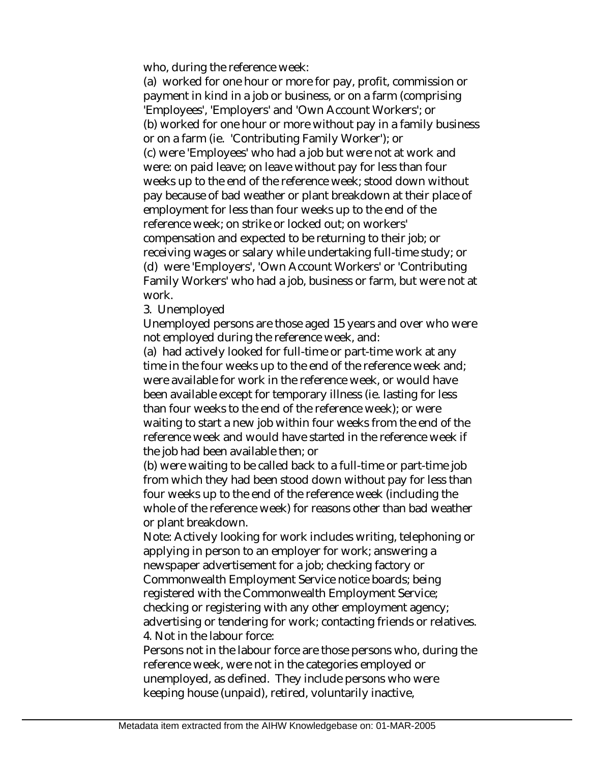who, during the reference week:

(a) worked for one hour or more for pay, profit, commission or payment in kind in a job or business, or on a farm (comprising 'Employees', 'Employers' and 'Own Account Workers'; or (b) worked for one hour or more without pay in a family business or on a farm (ie. 'Contributing Family Worker'); or (c) were 'Employees' who had a job but were not at work and were: on paid leave; on leave without pay for less than four weeks up to the end of the reference week; stood down without pay because of bad weather or plant breakdown at their place of employment for less than four weeks up to the end of the reference week; on strike or locked out; on workers' compensation and expected to be returning to their job; or receiving wages or salary while undertaking full-time study; or (d) were 'Employers', 'Own Account Workers' or 'Contributing Family Workers' who had a job, business or farm, but were not at work.

3. Unemployed

Unemployed persons are those aged 15 years and over who were not employed during the reference week, and:

(a) had actively looked for full-time or part-time work at any time in the four weeks up to the end of the reference week and; were available for work in the reference week, or would have been available except for temporary illness (ie. lasting for less than four weeks to the end of the reference week); or were waiting to start a new job within four weeks from the end of the reference week and would have started in the reference week if the job had been available then; or

(b) were waiting to be called back to a full-time or part-time job from which they had been stood down without pay for less than four weeks up to the end of the reference week (including the whole of the reference week) for reasons other than bad weather or plant breakdown.

Note: Actively looking for work includes writing, telephoning or applying in person to an employer for work; answering a newspaper advertisement for a job; checking factory or Commonwealth Employment Service notice boards; being registered with the Commonwealth Employment Service; checking or registering with any other employment agency; advertising or tendering for work; contacting friends or relatives. 4. Not in the labour force:

Persons not in the labour force are those persons who, during the reference week, were not in the categories employed or unemployed, as defined. They include persons who were keeping house (unpaid), retired, voluntarily inactive,